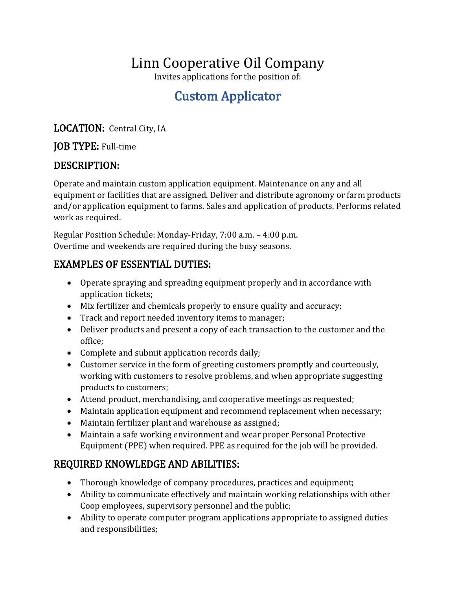# Linn Cooperative Oil Company

Invites applications for the position of:

# Custom Applicator

LOCATION: Central City, IA

#### JOB TYPE: Full-time

#### DESCRIPTION:

Operate and maintain custom application equipment. Maintenance on any and all equipment or facilities that are assigned. Deliver and distribute agronomy or farm products and/or application equipment to farms. Sales and application of products. Performs related work as required.

Regular Position Schedule: Monday-Friday, 7:00 a.m. – 4:00 p.m. Overtime and weekends are required during the busy seasons.

#### EXAMPLES OF ESSENTIAL DUTIES:

- Operate spraying and spreading equipment properly and in accordance with application tickets;
- Mix fertilizer and chemicals properly to ensure quality and accuracy;
- Track and report needed inventory items to manager;
- Deliver products and present a copy of each transaction to the customer and the office;
- Complete and submit application records daily;
- Customer service in the form of greeting customers promptly and courteously, working with customers to resolve problems, and when appropriate suggesting products to customers;
- Attend product, merchandising, and cooperative meetings as requested;
- Maintain application equipment and recommend replacement when necessary;
- Maintain fertilizer plant and warehouse as assigned;
- Maintain a safe working environment and wear proper Personal Protective Equipment (PPE) when required. PPE as required for the job will be provided.

## REQUIRED KNOWLEDGE AND ABILITIES:

- Thorough knowledge of company procedures, practices and equipment;
- Ability to communicate effectively and maintain working relationships with other Coop employees, supervisory personnel and the public;
- Ability to operate computer program applications appropriate to assigned duties and responsibilities;